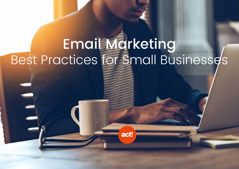# **Email Marketing** Best Practices for Small Businesses

act!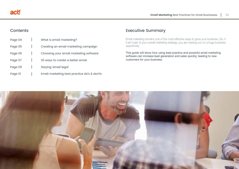#### **Contents**

| Page 04 | What is email marketing?                    |
|---------|---------------------------------------------|
| Page 05 | Creating an email marketing campaign        |
| Page 06 | Choosing your email marketing software      |
| Page 07 | 30 ways to create a better email            |
| Page 09 | Staying 'email legal'                       |
| Page 10 | Email marketing best practice do's & don'ts |

## Executive Summary

Email marketing remains one of the most effective ways to grow your business. So, if it isn't part of your overall marketing strategy, you are missing out on a huge business opportunity.

This guide will show how using best practice and powerful email marketing software can increase lead generation and sales quickly; leading to new customers for your business.

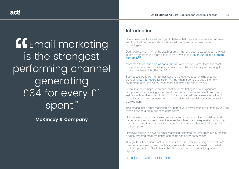|<br>|is<br>|-<br>|} **EGEMANIA MARKETING** is the strongest performing channel generating £34 for every £1 spent."

**[McKinsey & Company](http://www.mckinsey.com/business-functions/marketing-and-sales/our-insights/why-marketers-should-keep-sending-you-emails)**

#### Introduction

Some headlines today will lead you to believe that the days of email are numbered and that it will be made irrelevant by social media and other new startup technologies.

Don't believe them. While the death of email has long been buzzed about, the reality is that it's stronger and more effective than ever. In fact, [over 294 billion of them](https://www.statista.com/topics/1446/e-mail-marketing/)  [sent daily](https://www.statista.com/topics/1446/e-mail-marketing/)<sup>[1]</sup>.

More than [three-quarters of consumers](http://marketingland.com/77-percent-of-us-want-to-get-marketing-messages-via-email-theres-no-close-second-place-study-says-9420)<sup>[2]</sup> also consider email to be the most trusted form of communication, one reason why the number of people using it is forecast to rise to 2.9 billion by 2019.

Businesses like it too – email marketing is the strongest performing channel generating  $£34$  [for every £1 spent](http://www.mckinsey.com/business-functions/marketing-and-sales/our-insights/why-marketers-should-keep-sending-you-emails)<sup>[3]</sup>. And when it comes to acquiring new customers, email is also 40 times more effective than social media.

Given this, it's perhaps no surprise that email marketing is now a significant component of emarketing – the use of the internet, mobile and electronic media to sell products and services. In fact, in 2017 many small businesses are looking to make it one of their top marketing channels along with social media and website development.

This means that if email marketing isn't part of your overall marketing strategy, you are missing out on a huge business opportunity.

Unfortunately, many businesses, smaller ones in particular, don't capitalise on all that email marketing has to offer because they think it is too expensive to consider, too complicated to do, or they simply don't know how to choose the best email marketing service.

However, thanks to powerful email marketing platforms like Act! emarketing, creating a highly targeted email marketing campaign has never been easier.

This guide outlines how small businesses can use email marketing to benefit from using email marketing best practices, a smaller business can benefit from what marketing guru Seth Godin has called "the most personal advertising medium in history".

Let's begin with the basics.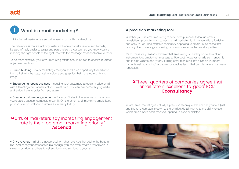#### What is email marketing? 1

Think of email marketing as an online version of traditional direct mail.

The difference is that it's not only faster and more cost-effective to send emails, it's also infinitely easier to target and personalise the content, so you know you are reaching the right people at the right time with the message most applicable to them.

To be most effective, your email marketing efforts should be tied to specific business objectives, such as:

• Brand building – every marketing email you send is an opportunity to familiarise the market with the logo, tagline, colours and graphics that make up your brand image.

• Encouraging repeat business – sending your customers a regular 'nudge email' with a tempting offer, or news of your latest products, can overcome 'buying inertia' and entice them to order from you again.

• Creating customer engagement – if you don't stay in the eye-line of customers, you create a vacuum competitors can fill. On the other hand, marketing emails keep you top of mind until your customers are ready to buy.

## " 154% of marketers say increasing engagement"<br>" rate is their top email marketing priority." rate is their top email marketing priority." **[Ascend2](http://ascend2.com/wp-content/uploads/2017/01/Ascend2-Email-Marketing-Strategy-Survey-Summary-Report-160908.pdf)**

• Drive revenue – all of the above lead to higher revenues that add to the bottom line. And once your database is big enough, you can even create further revenue streams by allowing others to sell products and services to your list.

#### **A precision marketing tool**

Whether you use email marketing to send post-purchase follow-up emails, newsletters, promotions, or surveys, email marketing is highly versatile, affordable and easy to use. This makes it particularly appealing to smaller businesses that typically don't have large marketing budgets or in-house technical expertise.

It's for these very reasons however that emarketing is used by some as a blunt instrument to promote their message at little cost. However, emails sent randomly and in high volume don't work. Turning email marketing into a simple 'numbers game' is just 'spamming', a counter-productive tactic that can damage a business's reputation.

## "Three-quarters of companies agree that<br>"email offers 'excellent' to 'good' ROI."<br>"Econsultancy email offers 'excellent' to 'good' ROI." **[Econsultancy](https://econsultancy.com/blog/67734-three-key-charts-from-our-2016-email-marketing-census/)**

In fact, email marketing is actually a precision technique that enables you to adjust and fine tune campaigns down to the smallest detail, thanks to the ability to see which emails have been received, opened, clicked or deleted.

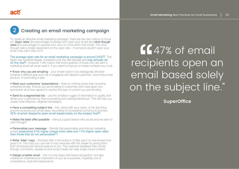#### Creating an email marketing campaign 2

To create an effective email marketing campaign, there are two key metrics to focus on. Open rates (the percentage of people who open your email) and click-though rates (the percentage of openers who click on a link within that email). The clickthrough rate is totally dependent on the open rate – if someone doesn't open your email, they can't click on it!

[The average open rate for an email marketing campaign is around 24%](http://www.superoffice.com/blog/email-open-rates/)<sup>[4]</sup>. This figure has remained largely consistent over the last decade and [may actually be](https://www.epsilon.com/a-brand-new-view/region/us/email-open-rates-at-a-two-year-high/)  [on the rise](https://www.epsilon.com/a-brand-new-view/region/us/email-open-rates-at-a-two-year-high/)<sup>[5]</sup>. However, it still means that three-quarters of those who are sent a marketing email will never read it. If you want to improve on these numbers you must:

• Know why you are emailing – your emails need to be strategically directed towards a defined goal such as re-engaging with lapsed customers, launching a new product, or promoting a sale.

• Meet your customers' expectations – there is nothing worse than receiving undesired emails. Ensure you are emailing to customers who have given you permission and have agreed to receive the type of content you are sending.

• Send to a segmented list – use the smallest nugget of information to qualify and divide your customers by their purchasing and viewing behaviours. This will help you create more effective, targeted campaigns.

• Have a compelling subject line – this, along with your name, is the first thing anyone receiving your email sees. According to consultants Convince & Convert, [35% of email recipients open email based solely on the subject line](http://www.convinceandconvert.com/convince-convert/15-email-statistics-that-are-shaping-the-future/)[6].

• Make the best offer possible – without a good reason why would anyone want to click through?

• Personalise your message – Brands that personalise promotional marketing emails [experience 27% higher unique click rates and 11% higher open rates](https://www.experianplc.com/media/news/2016/q2-2016-email-benchmark-report/)  [than those that do not personalise](https://www.experianplc.com/media/news/2016/q2-2016-email-benchmark-report/)<sup>[7]</sup>.

• Write 'killer' copy – the best offer in the world is of little use if no one knows how good it is. The copy you use has to truly resonate with the reader by giving them both emotional and rational reasons to act. The customer feedback that comes through comments, questions and social media can help shape future content.

• Design a better email – this not only helps with brand recognition, but also creates an instantaneous impression of you as a business, hopefully one of competence, trust and reassurance.

|<br>|Cik<br>| Ma<br>| th **47% of email** recipients open an email based solely on the subject line."

**[SuperOffice](http://www.superoffice.com/blog/email-open-rates/)**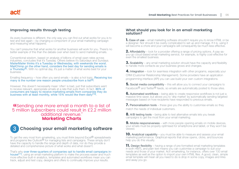#### **Improving results through testing**

As every business is different, the only way you can find out what works for you is to test and test again – by changing a component of your email marketing campaign and measuring what happens.

You can't presume that what works for another business will work for you. There's no better example of this than the debate over when best to send marketing emails.

Conventional wisdom, based on analysis of billions of email open rates across industries, concludes that it's Tuesday. Others believe it's Saturdays and Sundays. [MailerMailer thinks it's a Tuesday or Wednesday, with weekends the worst.](http://www.mailermailer.com/resources/metrics/2013/how-scheduling-affects-rates.rwp)  MailChimp on the other hand, considers the best day for sending emails is [a Thursday](http://www.mailermailer.com/resources/metrics/2013/how-scheduling-affects-rates.rwp)<sup>[8]</sup>. With no optimal day, it's just a matter of what works best for your business.

Emailing frequency – how often you send emails – is also a hot topic, [Receiving too](http://www.marketingcharts.com/wp/online/top-reasons-consumers-give-for-marking-emails-as-spam-36897/)  [many is the number one reason people unsubscribe from a list](http://www.marketingcharts.com/wp/online/top-reasons-consumers-give-for-marking-emails-as-spam-36897/)<sup>[9]</sup>.

However, this doesn't necessarily mean 'often' is bad, just that subscribers want to receive relevant, appropriate emails at a rate that suits them. In fact, 86% of [consumers are happy to receive marketing emails from companies they do](https://www.marketingsherpa.com/article/chart/how-customers-want-promo-emails)  [business with at least monthly, while 15% would like them daily](https://www.marketingsherpa.com/article/chart/how-customers-want-promo-emails)<sup>[10]</sup>.

#### "Sending one more email a month to a list of<br>5 million subscribers could result in £2.2 million<br>"Additional revenue." 5 million subscribers could result in £2.2 million additional revenue." **[Marketing Charts](http://www.marketingcharts.com/wp/online/should-brands-send-even-more-emails-38823/)**



# **Choosing your email marketing software**

To get the very most from emarketing, you must think beyond Excel<sup>®</sup> spreadsheets and programs like Outlook® for managing lists and campaigns. These simply don't have the capacity to handle the range and depth of data, nor do they provide a detailed and comprehensive picture of what works and what doesn't.

That's why [over three-quarters of companies opt to handle email campaigns in](http://info.lionbridge.com/rs/lionbridge/images/GlobalEmailMarketingSurveyReport_FINAL.pdf?aliId=15214842)[house](http://info.lionbridge.com/rs/lionbridge/images/GlobalEmailMarketingSurveyReport_FINAL.pdf?aliId=15214842)<sup>[11]</sup>, using an email marketing platform to make the process easier and much more effective built-in analytics, templates and automated workflows mean you can track, adjust and test copy, designs and offers to continually improve your results.

#### **What should you look for in an email marketing solution?**

**1.** Ease of use – email marketing software shouldn't require you to know HTML or be a designer. Nor should it be overly complicated to set up and manage. If it is, using it will become a chore and your campaigns will consequently be much less effective.

**2.** Affordability – look for a provider offering a range of pricing options. A pay-asyou-go cloud-based email marketing service, for example, is highly cost-effective for even the smallest business.

**3. Scalability** – any email marketing solution should have the capacity and flexibility to handle more contacts as your business grows and changes.

4. Integration – look for seamless integration with other programs, especially your CRM (Customer Relationship Management). Some providers have an application programming interface (API) you can use build your own custom integrations.

**5.** Social media compatibility – this will allow you to connect your campaigns to Facebook® and Twitter® feeds, so emails are automatically posted to those sites.

**6.** Automated workflows – being able to create responsive workflows is not just a massive time saver, but allows you to 'drip market' by automatically sending targeted messages based on how recipients have responded to previous emails.

**7. Personalisation tools** – these give you the ability to customise emails so they match the needs of individual customers.

**8.** A/B testing tools – being able to test alternative emails lets you tweak campaigns to get the most from your email marketing.

**9.** Mobile responsiveness – with more people opening emails on mobile devices, your emails must be properly optimised for smartphone and tablet, or they won't be viewed.

**10.** Analytical capability – you must be able to measure and assess your email marketing performance. Graphical reports that show opens, clicks, and bounces help you do this visually.

**11.** Design flexibility – having a range of pre-formatted email marketing templates in both HMTL and plain text means you can customise a campaign to suit your needs and those of your market. Act! emarketing, for instance, offers over 100 email templates as well as the option to import your own HTML files. A good, clean, simple email template will mean all you need to do is drop in some copy, images and links and away you go.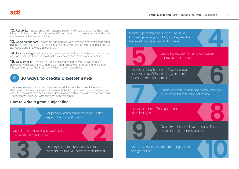**12. Reliability** – a proven email marketing platform will help ensure you don't get let down in the middle of a campaign. Check out user recommendations and social media reviews before committing.

**13.** Ongoing support – problems can happen with even the best email marketing platforms, so make sure your email marketing service can provide technical backup as needed and in a way that suits you.

**14.** Lead scoring – being able to create a prioritised list of contacts for follow-up after an email has been sent will make your sales team much more effective.

**15. Deliverability** – check that your email marketing service provider takes deliverability seriously. If they don't, then your emails won't be getting to the right inboxes and you will be in danger of having them blacklisted.



There are two key components to a successful email - the subject line, which determines whether your email is opened in the first place and the content of your email the recipient then sees, which determines whether they will act on your email. These tips will help you write the best possible email.

#### **How to write a great subject line**

Tell people what's inside the email, don't expect them to just open it.

Tell people white<br>
Participants of the simple, concise language so the<br>
Use simple, concise language so the message isn't confusing.

France Simple, concise language so the<br>
Bessage isn't confusing.<br>
Use keywords that resonate with the<br>
recipient, as this will increase their interest. Use keywords that resonate with the recipient, as this will increase their interest.

Create a personalised subject line using knowledge from your CRM, so they feel that the email has been written for them.

**4** Using the recipient's name or location improves open rates.

**6** has 'Increase your<br>
is this gives them a<br>
mail.<br>
Create a sense of urgency. 'Today only' will Using the recipient's<br>
improves open rates<br>
Include a benefit, such as 'Increase your open rates by 50%' as this gives them a reason to read your email.

encourage them to take action now.

**17** Create a ser<br>
encourage the<br>
Include numbers. They get better click-throughs.



**8**<br>The Don't try to be too clever or funny. The recipient may not think you are.

**10**

Keep it below 50 characters. Longer lines can get cut off.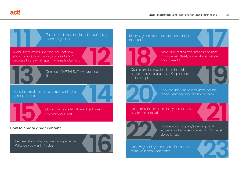**act!** 

**How to create great content** Put the most relevant<br>
it doesn't get lost.<br>
Avoid 'spam words' like 'free' and 'act now', **13 12 144 16 15** Put the most relevant information upfront, so it doesn't get lost. Continually test alternative subject lines to improve open rates. Send the email from a real person and not a generic address. Be clear about why you are writing an email. What do you want it to do? Don't use CAPITALS. They trigger spam filters. and don't use punctuation, such as ! and ? because this is what 'spammy' emails often do.

Make only one clear offer, or it can confuse the reader.



**17** Make sure that all text, images and links in your email clearly show why someone should read it.

hoops to access your deal. Keep the next action simple.

**19 2008** If you include links to elected the reader why they should<br>Use templates for consistency and to make If you include links to elsewhere, tell the reader why they should click on them.

emails easier to write.



**21** Include your company's name, postal address and an unsubscribe link. You must do so by law.

**23**

Use ow.ly or bit.ly to shorten URL links to make your email look better.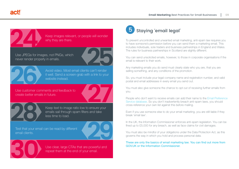Keep images relevant, or people will wonder why they are there.

**24** Use JPEGs for images, not PNGs, which never render properly in emails.





Avoid video. Most email clients can't render<br>it well. Send a screen-grab with a link to your<br>website instead.<br>Use customer comments and feedback to<br>create better emails in future.<br>Keep text to image ratio low to ensure you Avoid video. Most email clients can't render it well. Send a screen-grab with a link to your website instead.

Use customer comments and feedback to create better emails in future.

**<sup>29</sup> <sup>28</sup>** Keep text to image ratio low to ensure your emails sail through spam filters and take less time to load.

Test that your email can be read by different email clients.



Use clear, large CTAs that are powerful and repeat them at the end of your email.

#### Staying 'email legal' 5

To prevent uncontrolled and unwanted email marketing, anti-spam law requires you to have someone's permission before you can send them a marketing email. This includes individuals, sole traders and business partnerships in England and Wales. The rules for business partnerships in Scotland are slightly different.

You can send unsolicited emails, however, to those in corporate organisations if the email is relevant to their work.

Any marketing emails you do send must clearly state who you are, that you are selling something, and any conditions of the promotion.

So, you must include your legal company name and registration number, and valid postal and email addresses in every email you send out.

You must also give someone the chance to opt out of receiving further emails from you.

People who don't want to receive emails can add their name to the [Email Preference](http://www.ims-dm.com/cgi/offemaillist.php)  [Service database](http://www.ims-dm.com/cgi/offemaillist.php). So you don't inadvertently breach anti-spam laws, you should cross-reference your own list against this before mailing.

Even if you use someone else to do your email marketing, you are still liable if they break 'email law'.

In the UK, the Information Commissioner enforces anti-spam legislation. You can be fined up to £5,000 for any breach, as well as face claims for civil damages.

You must also be mindful of your obligations under the Data Protection Act, as this governs the way in which you hold and process personal data.

These are only the basics of email marketing law. You can find out more from [GOV.UK](https://www.gov.uk/marketing-advertising-law/direct-marketing) or the [Information Commissioner.](http://www.ico.org.uk/)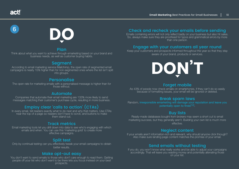# 6



#### Plan

Think about what you want to achieve through emarketing based on your brand and business needs, as well as customer buying habits.

## **Segment**

According to email marketing service Mailchimp, the open rate of segmented email campaigns is nearly 15% higher than for non-segmented ones where the list isn't split into groups.

## Personalise

The open rate for marketing emails with a personalised message is higher than for those without.

#### Automate

Companies that automate their email marketing are 133% more likely to send messages matching their customer's purchase cycle, resulting in more business.

# Employ clear 'calls to action' (CTAs)

In every email, tell readers exactly what to do next and why that matters. Use CTAs near the top of a page so readers don't have to scroll, and buttons to make them stand out.

#### Track metrics

Email marketing tools let you drill down into data to see who's engaging with which emails and when. You can use this 'marketing gold' to create more effective campaigns.

#### Split test

Only by continual testing can you effectively tweak your email campaigns to obtain better results.

#### Make opt-out easy

You don't want to send emails to those who don't care enough to read them. Getting people off your list who don't want to be there lets you focus instead on your best prospects.

# Check and recheck your emails before sending

Emails containing errors will not only reflect badly on your business but also hit sales. So, always make sure they are proofread for typos and grammatical errors by more than one person.

## Engage with your customers all year round

Keep your customers and prospects informed throughout the year so that they stay aware of your brand, products or services.



#### Forget mobile

As 43% of people now check emails on smartphones, if they can't do so easily because of formatting issues, your email will be ignored or deleted.

#### Break spam laws

Random, [irresponsible emarketing will damage your reputation and leave you](https://www.ftc.gov/tips-advice/business-center/guidance/can-spam-act-compliance-guide-business)  [potentially open to fines](https://www.ftc.gov/tips-advice/business-center/guidance/can-spam-act-compliance-guide-business)[12].

# Buy lists

Ready-made databases bought from brokers may seem a short cut to email marketing success, but they generally aren't. Building your own list is much more effective.

#### Neglect content

If your emails aren't information-rich and relevant, why should anyone click through? Also make sure landing page content matches the promise of your email.

# Send emails without testing

If you do, you won't know what really works and be able to adjust your campaigns accordingly. That will leave you wasting money and potentially alienating those on your list.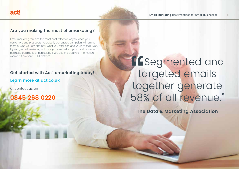# Are you making the most of emarketing?

Email marketing remains the most cost-effective way to reach your customers and prospects. A properly conducted campaign will remind them of who you are and how what you offer can add value to their lives. By using email marketing software you can make it your most powerful business-building tool, particularly if you use the wealth of information available from your CRM platform.

#### **Get started with Act! emarketing today!**

#### **[Learn more](https://www.act.com/en-uk/products/act-emarketing) [at act.co.uk](https://www.act.com/en-uk/products/act-emarketing)**

or contact us on

# **0845 268 0220**

# t to to the **TESegmented and** targeted emails together generate 58% of all revenue."

**[The Data & Marketing Association](https://dma.org.uk/uploads/ckeditor/National-client-email-2015.pdf)**